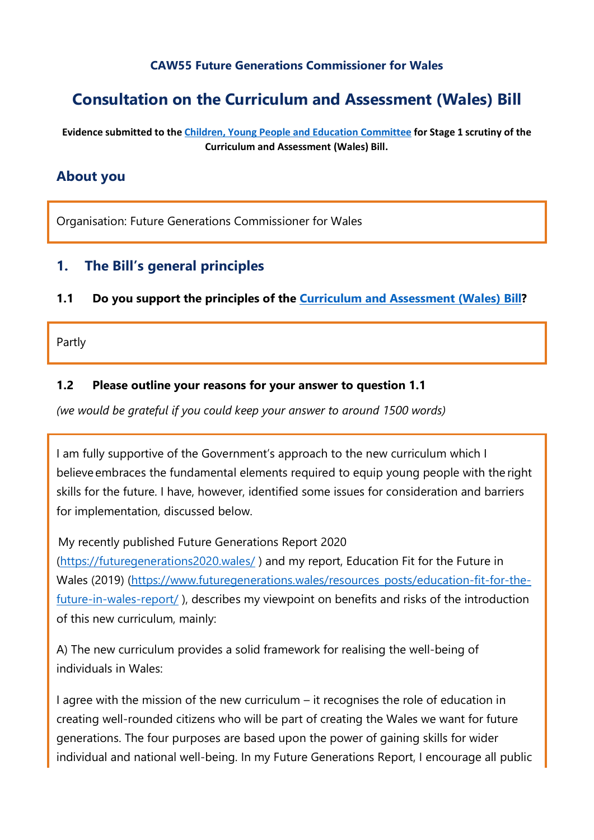#### **CAW55 Future Generations Commissioner for Wales**

# **Consultation on the Curriculum and Assessment (Wales) Bill**

**Evidence submitted to the [Children, Young People and Education Committee](http://senedd.assembly.wales/mgCommitteeDetails.aspx?ID=443) for Stage 1 scrutiny of the Curriculum and Assessment (Wales) Bill.**

### **About you**

Organisation: Future Generations Commissioner for Wales

### **1. The Bill's general principles**

#### **1.1 Do you support the principles of the [Curriculum and Assessment \(Wales\) Bill?](https://business.senedd.wales/mgIssueHistoryHome.aspx?IId=28836)**

Partly

#### **1.2 Please outline your reasons for your answer to question 1.1**

*(we would be grateful if you could keep your answer to around 1500 words)*

I am fully supportive of the Government's approach to the new curriculum which I believe embraces the fundamental elements required to equip young people with the right skills for the future. I have, however, identified some issues for consideration and barriers for implementation, discussed below.

My recently published Future Generations Report 2020

(<https://futuregenerations2020.wales/> ) and my report, Education Fit for the Future in Wales (2019) [\(https://www.futuregenerations.wales/resources\\_posts/educ](https://www.futuregenerations.wales/resources_posts/education-fit-for-the-future-in-wales-report/)ation-fit-for-the[future-in-wales-report/](https://www.futuregenerations.wales/resources_posts/education-fit-for-the-future-in-wales-report/) ), describes my viewpoint on benefits and risks of the introduction of this new curriculum, mainly:

A) The new curriculum provides a solid framework for realising the well-being of individuals in Wales:

I agree with the mission of the new curriculum – it recognises the role of education in creating well-rounded citizens who will be part of creating the Wales we want for future generations. The four purposes are based upon the power of gaining skills for wider individual and national well-being. In my Future Generations Report, I encourage all public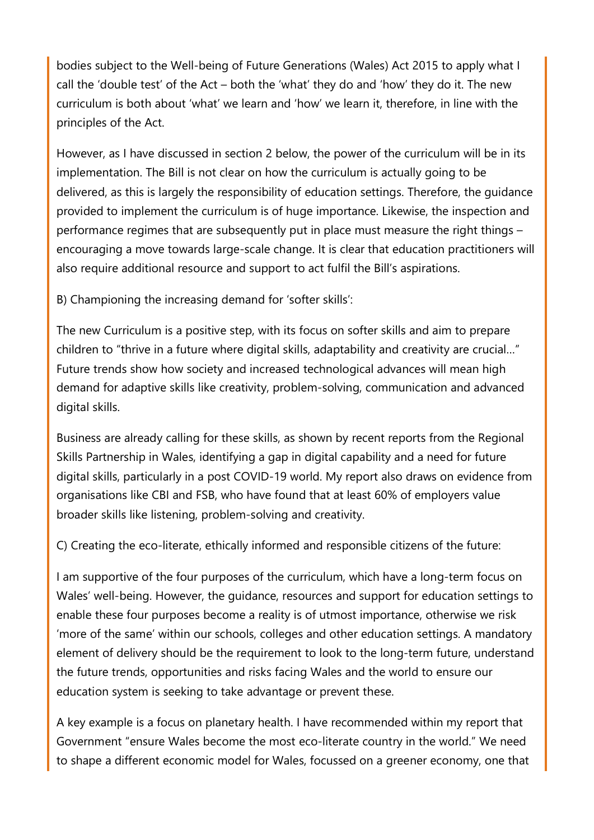bodies subject to the Well-being of Future Generations (Wales) Act 2015 to apply what I call the 'double test' of the Act – both the 'what' they do and 'how' they do it. The new curriculum is both about 'what' we learn and 'how' we learn it, therefore, in line with the principles of the Act.

However, as I have discussed in section 2 below, the power of the curriculum will be in its implementation. The Bill is not clear on how the curriculum is actually going to be delivered, as this is largely the responsibility of education settings. Therefore, the guidance provided to implement the curriculum is of huge importance. Likewise, the inspection and performance regimes that are subsequently put in place must measure the right things – encouraging a move towards large-scale change. It is clear that education practitioners will also require additional resource and support to act fulfil the Bill's aspirations.

B) Championing the increasing demand for 'softer skills':

The new Curriculum is a positive step, with its focus on softer skills and aim to prepare children to "thrive in a future where digital skills, adaptability and creativity are crucial…" Future trends show how society and increased technological advances will mean high demand for adaptive skills like creativity, problem-solving, communication and advanced digital skills.

Business are already calling for these skills, as shown by recent reports from the Regional Skills Partnership in Wales, identifying a gap in digital capability and a need for future digital skills, particularly in a post COVID-19 world. My report also draws on evidence from organisations like CBI and FSB, who have found that at least 60% of employers value broader skills like listening, problem-solving and creativity.

C) Creating the eco-literate, ethically informed and responsible citizens of the future:

I am supportive of the four purposes of the curriculum, which have a long-term focus on Wales' well-being. However, the guidance, resources and support for education settings to enable these four purposes become a reality is of utmost importance, otherwise we risk 'more of the same' within our schools, colleges and other education settings. A mandatory element of delivery should be the requirement to look to the long-term future, understand the future trends, opportunities and risks facing Wales and the world to ensure our education system is seeking to take advantage or prevent these.

A key example is a focus on planetary health. I have recommended within my report that Government "ensure Wales become the most eco-literate country in the world." We need to shape a different economic model for Wales, focussed on a greener economy, one that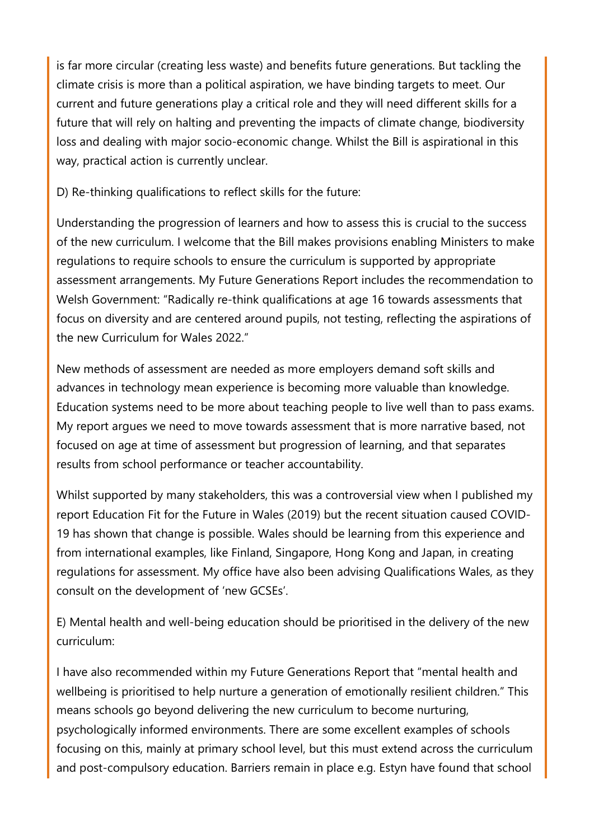is far more circular (creating less waste) and benefits future generations. But tackling the climate crisis is more than a political aspiration, we have binding targets to meet. Our current and future generations play a critical role and they will need different skills for a future that will rely on halting and preventing the impacts of climate change, biodiversity loss and dealing with major socio-economic change. Whilst the Bill is aspirational in this way, practical action is currently unclear.

D) Re-thinking qualifications to reflect skills for the future:

Understanding the progression of learners and how to assess this is crucial to the success of the new curriculum. I welcome that the Bill makes provisions enabling Ministers to make regulations to require schools to ensure the curriculum is supported by appropriate assessment arrangements. My Future Generations Report includes the recommendation to Welsh Government: "Radically re-think qualifications at age 16 towards assessments that focus on diversity and are centered around pupils, not testing, reflecting the aspirations of the new Curriculum for Wales 2022."

New methods of assessment are needed as more employers demand soft skills and advances in technology mean experience is becoming more valuable than knowledge. Education systems need to be more about teaching people to live well than to pass exams. My report argues we need to move towards assessment that is more narrative based, not focused on age at time of assessment but progression of learning, and that separates results from school performance or teacher accountability.

Whilst supported by many stakeholders, this was a controversial view when I published my report Education Fit for the Future in Wales (2019) but the recent situation caused COVID-19 has shown that change is possible. Wales should be learning from this experience and from international examples, like Finland, Singapore, Hong Kong and Japan, in creating regulations for assessment. My office have also been advising Qualifications Wales, as they consult on the development of 'new GCSEs'.

E) Mental health and well-being education should be prioritised in the delivery of the new curriculum:

I have also recommended within my Future Generations Report that "mental health and wellbeing is prioritised to help nurture a generation of emotionally resilient children." This means schools go beyond delivering the new curriculum to become nurturing, psychologically informed environments. There are some excellent examples of schools focusing on this, mainly at primary school level, but this must extend across the curriculum and post-compulsory education. Barriers remain in place e.g. Estyn have found that school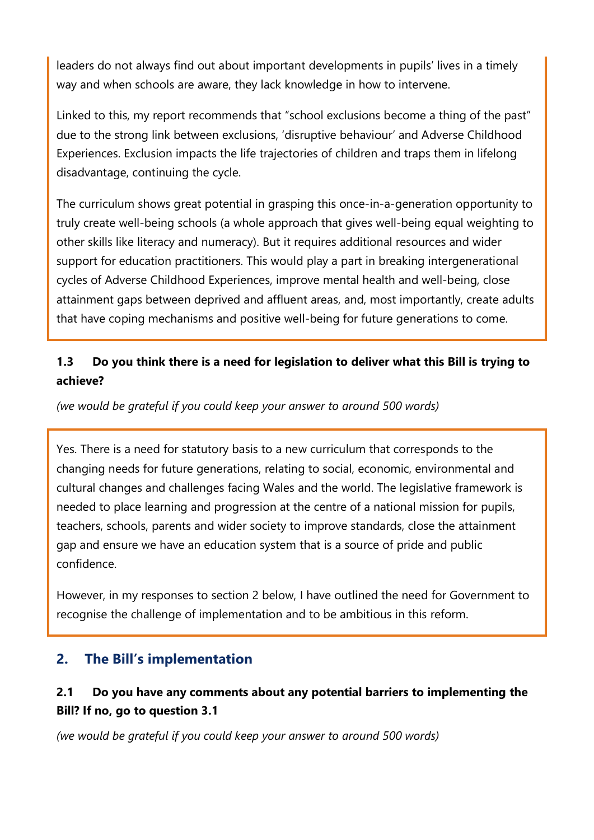leaders do not always find out about important developments in pupils' lives in a timely way and when schools are aware, they lack knowledge in how to intervene.

Linked to this, my report recommends that "school exclusions become a thing of the past" due to the strong link between exclusions, 'disruptive behaviour' and Adverse Childhood Experiences. Exclusion impacts the life trajectories of children and traps them in lifelong disadvantage, continuing the cycle.

The curriculum shows great potential in grasping this once-in-a-generation opportunity to truly create well-being schools (a whole approach that gives well-being equal weighting to other skills like literacy and numeracy). But it requires additional resources and wider support for education practitioners. This would play a part in breaking intergenerational cycles of Adverse Childhood Experiences, improve mental health and well-being, close attainment gaps between deprived and affluent areas, and, most importantly, create adults that have coping mechanisms and positive well-being for future generations to come.

# **1.3 Do you think there is a need for legislation to deliver what this Bill is trying to achieve?**

*(we would be grateful if you could keep your answer to around 500 words)*

Yes. There is a need for statutory basis to a new curriculum that corresponds to the changing needs for future generations, relating to social, economic, environmental and cultural changes and challenges facing Wales and the world. The legislative framework is needed to place learning and progression at the centre of a national mission for pupils, teachers, schools, parents and wider society to improve standards, close the attainment gap and ensure we have an education system that is a source of pride and public confidence.

However, in my responses to section 2 below, I have outlined the need for Government to recognise the challenge of implementation and to be ambitious in this reform.

# **2. The Bill's implementation**

# **2.1 Do you have any comments about any potential barriers to implementing the Bill? If no, go to question 3.1**

*(we would be grateful if you could keep your answer to around 500 words)*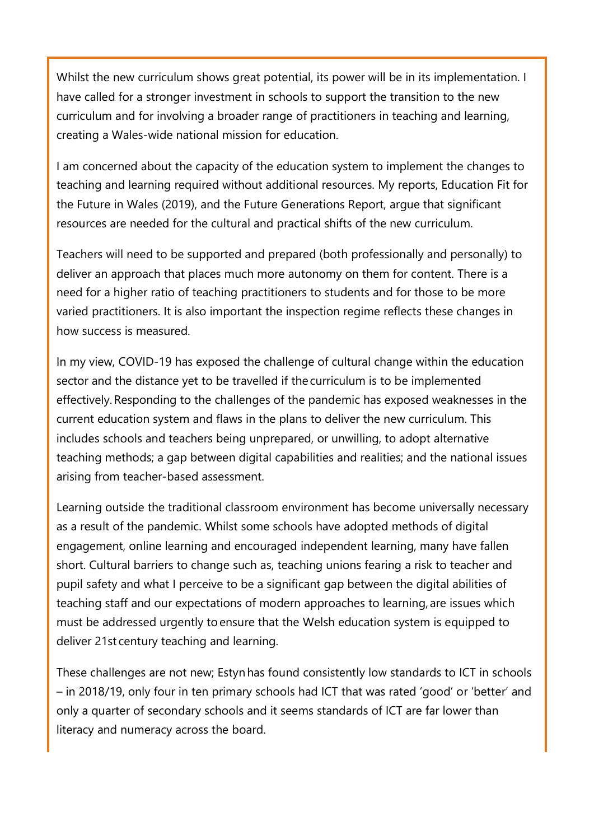Whilst the new curriculum shows great potential, its power will be in its implementation. I have called for a stronger investment in schools to support the transition to the new curriculum and for involving a broader range of practitioners in teaching and learning, creating a Wales-wide national mission for education.

I am concerned about the capacity of the education system to implement the changes to teaching and learning required without additional resources. My reports, Education Fit for the Future in Wales (2019), and the Future Generations Report, argue that significant resources are needed for the cultural and practical shifts of the new curriculum.

Teachers will need to be supported and prepared (both professionally and personally) to deliver an approach that places much more autonomy on them for content. There is a need for a higher ratio of teaching practitioners to students and for those to be more varied practitioners. It is also important the inspection regime reflects these changes in how success is measured.

In my view, COVID-19 has exposed the challenge of cultural change within the education sector and the distance yet to be travelled if the curriculum is to be implemented effectively. Responding to the challenges of the pandemic has exposed weaknesses in the current education system and flaws in the plans to deliver the new curriculum. This includes schools and teachers being unprepared, or unwilling, to adopt alternative teaching methods; a gap between digital capabilities and realities; and the national issues arising from teacher-based assessment.

Learning outside the traditional classroom environment has become universally necessary as a result of the pandemic. Whilst some schools have adopted methods of digital engagement, online learning and encouraged independent learning, many have fallen short. Cultural barriers to change such as, teaching unions fearing a risk to teacher and pupil safety and what I perceive to be a significant gap between the digital abilities of teaching staff and our expectations of modern approaches to learning, are issues which must be addressed urgently to ensure that the Welsh education system is equipped to deliver 21st century teaching and learning. 

These challenges are not new; Estyn has found consistently low standards to ICT in schools – in 2018/19, only four in ten primary schools had ICT that was rated 'good' or 'better' and only a quarter of secondary schools and it seems standards of ICT are far lower than literacy and numeracy across the board.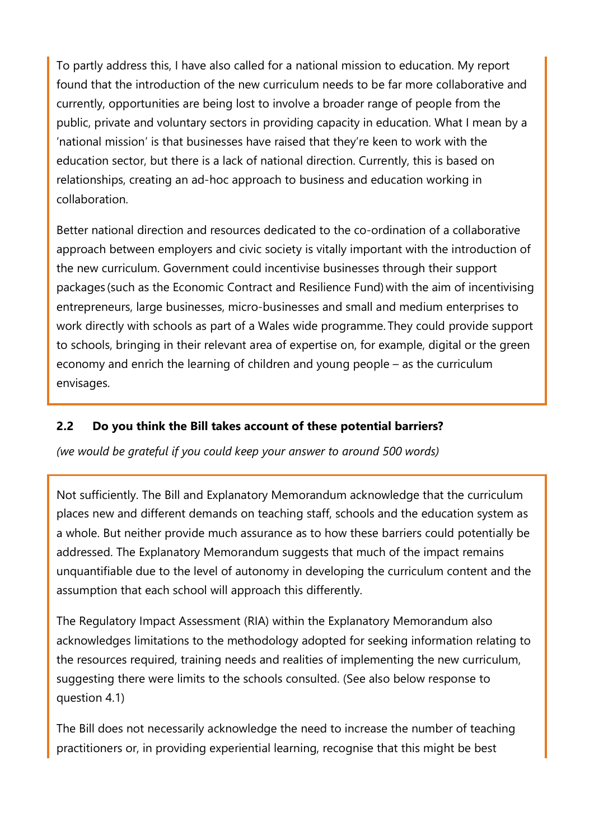To partly address this, I have also called for a national mission to education. My report found that the introduction of the new curriculum needs to be far more collaborative and currently, opportunities are being lost to involve a broader range of people from the public, private and voluntary sectors in providing capacity in education. What I mean by a 'national mission' is that businesses have raised that they're keen to work with the education sector, but there is a lack of national direction. Currently, this is based on relationships, creating an ad-hoc approach to business and education working in collaboration.

Better national direction and resources dedicated to the co-ordination of a collaborative approach between employers and civic society is vitally important with the introduction of the new curriculum. Government could incentivise businesses through their support packages (such as the Economic Contract and Resilience Fund) with the aim of incentivising entrepreneurs, large businesses, micro-businesses and small and medium enterprises to work directly with schools as part of a Wales wide programme. They could provide support to schools, bringing in their relevant area of expertise on, for example, digital or the green economy and enrich the learning of children and young people – as the curriculum envisages.

#### **2.2 Do you think the Bill takes account of these potential barriers?**

*(we would be grateful if you could keep your answer to around 500 words)*

Not sufficiently. The Bill and Explanatory Memorandum acknowledge that the curriculum places new and different demands on teaching staff, schools and the education system as a whole. But neither provide much assurance as to how these barriers could potentially be addressed. The Explanatory Memorandum suggests that much of the impact remains unquantifiable due to the level of autonomy in developing the curriculum content and the assumption that each school will approach this differently.

The Regulatory Impact Assessment (RIA) within the Explanatory Memorandum also acknowledges limitations to the methodology adopted for seeking information relating to the resources required, training needs and realities of implementing the new curriculum, suggesting there were limits to the schools consulted. (See also below response to question 4.1)

The Bill does not necessarily acknowledge the need to increase the number of teaching practitioners or, in providing experiential learning, recognise that this might be best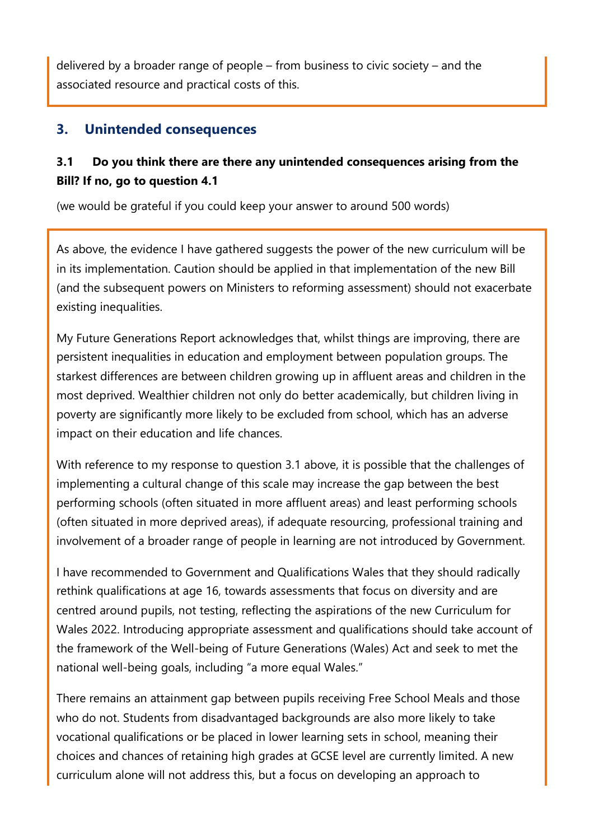delivered by a broader range of people – from business to civic society – and the associated resource and practical costs of this.

### **3. Unintended consequences**

# **3.1 Do you think there are there any unintended consequences arising from the Bill? If no, go to question 4.1**

(we would be grateful if you could keep your answer to around 500 words)

As above, the evidence I have gathered suggests the power of the new curriculum will be in its implementation. Caution should be applied in that implementation of the new Bill (and the subsequent powers on Ministers to reforming assessment) should not exacerbate existing inequalities.

My Future Generations Report acknowledges that, whilst things are improving, there are persistent inequalities in education and employment between population groups. The starkest differences are between children growing up in affluent areas and children in the most deprived. Wealthier children not only do better academically, but children living in poverty are significantly more likely to be excluded from school, which has an adverse impact on their education and life chances.

With reference to my response to question 3.1 above, it is possible that the challenges of implementing a cultural change of this scale may increase the gap between the best performing schools (often situated in more affluent areas) and least performing schools (often situated in more deprived areas), if adequate resourcing, professional training and involvement of a broader range of people in learning are not introduced by Government.

I have recommended to Government and Qualifications Wales that they should radically rethink qualifications at age 16, towards assessments that focus on diversity and are centred around pupils, not testing, reflecting the aspirations of the new Curriculum for Wales 2022. Introducing appropriate assessment and qualifications should take account of the framework of the Well-being of Future Generations (Wales) Act and seek to met the national well-being goals, including "a more equal Wales."

There remains an attainment gap between pupils receiving Free School Meals and those who do not. Students from disadvantaged backgrounds are also more likely to take vocational qualifications or be placed in lower learning sets in school, meaning their choices and chances of retaining high grades at GCSE level are currently limited. A new curriculum alone will not address this, but a focus on developing an approach to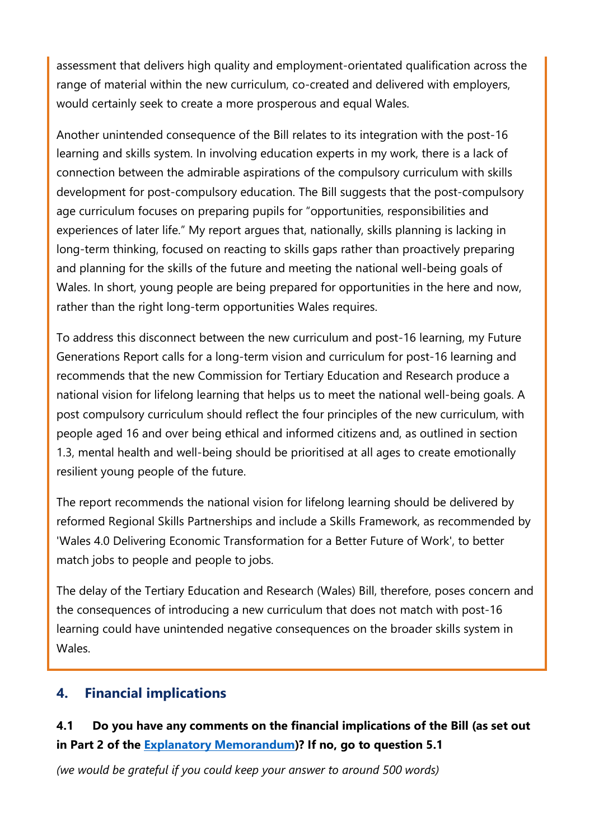assessment that delivers high quality and employment-orientated qualification across the range of material within the new curriculum, co-created and delivered with employers, would certainly seek to create a more prosperous and equal Wales.

Another unintended consequence of the Bill relates to its integration with the post-16 learning and skills system. In involving education experts in my work, there is a lack of connection between the admirable aspirations of the compulsory curriculum with skills development for post-compulsory education. The Bill suggests that the post-compulsory age curriculum focuses on preparing pupils for "opportunities, responsibilities and experiences of later life." My report argues that, nationally, skills planning is lacking in long-term thinking, focused on reacting to skills gaps rather than proactively preparing and planning for the skills of the future and meeting the national well-being goals of Wales. In short, young people are being prepared for opportunities in the here and now, rather than the right long-term opportunities Wales requires.

To address this disconnect between the new curriculum and post-16 learning, my Future Generations Report calls for a long-term vision and curriculum for post-16 learning and recommends that the new Commission for Tertiary Education and Research produce a national vision for lifelong learning that helps us to meet the national well-being goals. A post compulsory curriculum should reflect the four principles of the new curriculum, with people aged 16 and over being ethical and informed citizens and, as outlined in section 1.3, mental health and well-being should be prioritised at all ages to create emotionally resilient young people of the future.

The report recommends the national vision for lifelong learning should be delivered by reformed Regional Skills Partnerships and include a Skills Framework, as recommended by 'Wales 4.0 Delivering Economic Transformation for a Better Future of Work', to better match jobs to people and people to jobs.

The delay of the Tertiary Education and Research (Wales) Bill, therefore, poses concern and the consequences of introducing a new curriculum that does not match with post-16 learning could have unintended negative consequences on the broader skills system in Wales.

# **4. Financial implications**

# **4.1 Do you have any comments on the financial implications of the Bill (as set out in Part 2 of the [Explanatory Memorandum\)](https://senedd.wales/laid%20documents/pri-ld13294-em/pri-ld13294-em%20-e.pdf)? If no, go to question 5.1**

*(we would be grateful if you could keep your answer to around 500 words)*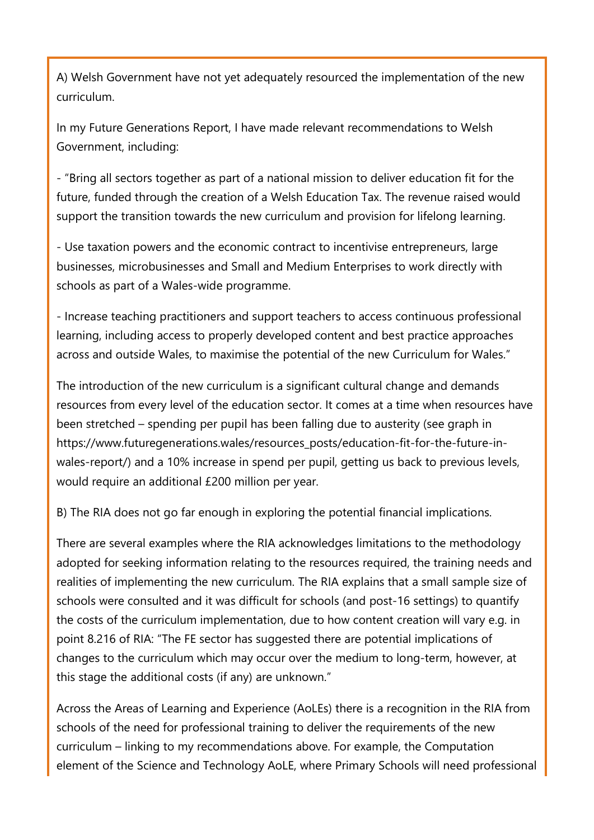A) Welsh Government have not yet adequately resourced the implementation of the new curriculum.

In my Future Generations Report, I have made relevant recommendations to Welsh Government, including:

- "Bring all sectors together as part of a national mission to deliver education fit for the future, funded through the creation of a Welsh Education Tax. The revenue raised would support the transition towards the new curriculum and provision for lifelong learning.

- Use taxation powers and the economic contract to incentivise entrepreneurs, large businesses, microbusinesses and Small and Medium Enterprises to work directly with schools as part of a Wales-wide programme.

- Increase teaching practitioners and support teachers to access continuous professional learning, including access to properly developed content and best practice approaches across and outside Wales, to maximise the potential of the new Curriculum for Wales."

The introduction of the new curriculum is a significant cultural change and demands resources from every level of the education sector. It comes at a time when resources have been stretched – spending per pupil has been falling due to austerity (see graph in https://www.futuregenerations.wales/resources\_posts/education-fit-for-the-future-inwales-report/) and a 10% increase in spend per pupil, getting us back to previous levels, would require an additional £200 million per year.

B) The RIA does not go far enough in exploring the potential financial implications.

There are several examples where the RIA acknowledges limitations to the methodology adopted for seeking information relating to the resources required, the training needs and realities of implementing the new curriculum. The RIA explains that a small sample size of schools were consulted and it was difficult for schools (and post-16 settings) to quantify the costs of the curriculum implementation, due to how content creation will vary e.g. in point 8.216 of RIA: "The FE sector has suggested there are potential implications of changes to the curriculum which may occur over the medium to long-term, however, at this stage the additional costs (if any) are unknown."

Across the Areas of Learning and Experience (AoLEs) there is a recognition in the RIA from schools of the need for professional training to deliver the requirements of the new curriculum – linking to my recommendations above. For example, the Computation element of the Science and Technology AoLE, where Primary Schools will need professional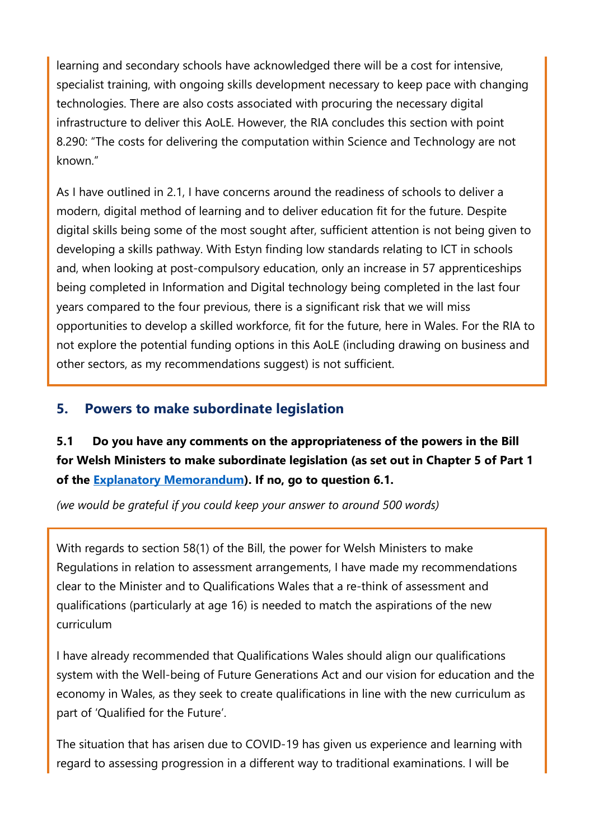learning and secondary schools have acknowledged there will be a cost for intensive, specialist training, with ongoing skills development necessary to keep pace with changing technologies. There are also costs associated with procuring the necessary digital infrastructure to deliver this AoLE. However, the RIA concludes this section with point 8.290: "The costs for delivering the computation within Science and Technology are not known."

As I have outlined in 2.1, I have concerns around the readiness of schools to deliver a modern, digital method of learning and to deliver education fit for the future. Despite digital skills being some of the most sought after, sufficient attention is not being given to developing a skills pathway. With Estyn finding low standards relating to ICT in schools and, when looking at post-compulsory education, only an increase in 57 apprenticeships being completed in Information and Digital technology being completed in the last four years compared to the four previous, there is a significant risk that we will miss opportunities to develop a skilled workforce, fit for the future, here in Wales. For the RIA to not explore the potential funding options in this AoLE (including drawing on business and other sectors, as my recommendations suggest) is not sufficient.

# **5. Powers to make subordinate legislation**

# **5.1 Do you have any comments on the appropriateness of the powers in the Bill for Welsh Ministers to make subordinate legislation (as set out in Chapter 5 of Part 1 of the [Explanatory Memorandum\)](https://senedd.wales/laid%20documents/pri-ld13294-em/pri-ld13294-em%20-e.pdf). If no, go to question 6.1.**

*(we would be grateful if you could keep your answer to around 500 words)*

With regards to section 58(1) of the Bill, the power for Welsh Ministers to make Regulations in relation to assessment arrangements, I have made my recommendations clear to the Minister and to Qualifications Wales that a re-think of assessment and qualifications (particularly at age 16) is needed to match the aspirations of the new curriculum

I have already recommended that Qualifications Wales should align our qualifications system with the Well-being of Future Generations Act and our vision for education and the economy in Wales, as they seek to create qualifications in line with the new curriculum as part of 'Qualified for the Future'.

The situation that has arisen due to COVID-19 has given us experience and learning with regard to assessing progression in a different way to traditional examinations. I will be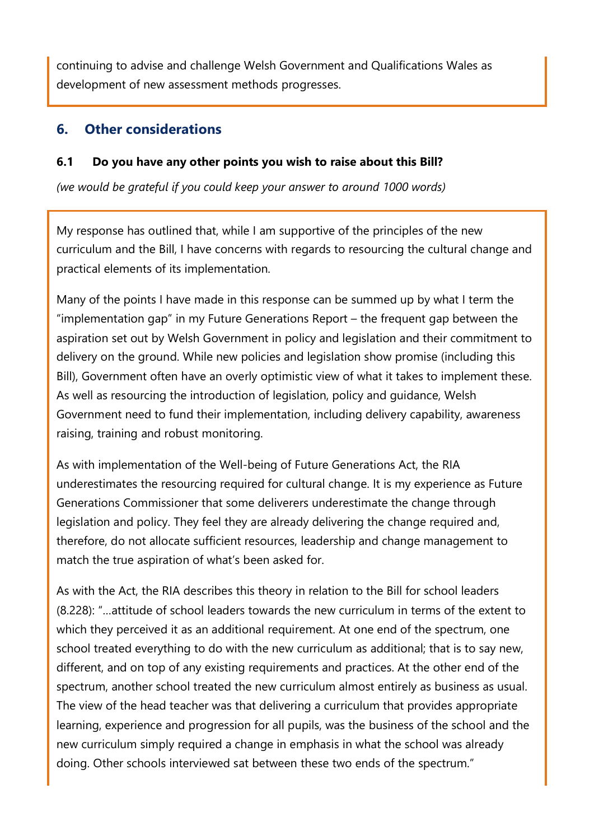continuing to advise and challenge Welsh Government and Qualifications Wales as development of new assessment methods progresses.

### **6. Other considerations**

#### **6.1 Do you have any other points you wish to raise about this Bill?**

*(we would be grateful if you could keep your answer to around 1000 words)*

My response has outlined that, while I am supportive of the principles of the new curriculum and the Bill, I have concerns with regards to resourcing the cultural change and practical elements of its implementation.

Many of the points I have made in this response can be summed up by what I term the "implementation gap" in my Future Generations Report – the frequent gap between the aspiration set out by Welsh Government in policy and legislation and their commitment to delivery on the ground. While new policies and legislation show promise (including this Bill), Government often have an overly optimistic view of what it takes to implement these. As well as resourcing the introduction of legislation, policy and guidance, Welsh Government need to fund their implementation, including delivery capability, awareness raising, training and robust monitoring.

As with implementation of the Well-being of Future Generations Act, the RIA underestimates the resourcing required for cultural change. It is my experience as Future Generations Commissioner that some deliverers underestimate the change through legislation and policy. They feel they are already delivering the change required and, therefore, do not allocate sufficient resources, leadership and change management to match the true aspiration of what's been asked for.

As with the Act, the RIA describes this theory in relation to the Bill for school leaders (8.228): "…attitude of school leaders towards the new curriculum in terms of the extent to which they perceived it as an additional requirement. At one end of the spectrum, one school treated everything to do with the new curriculum as additional; that is to say new, different, and on top of any existing requirements and practices. At the other end of the spectrum, another school treated the new curriculum almost entirely as business as usual. The view of the head teacher was that delivering a curriculum that provides appropriate learning, experience and progression for all pupils, was the business of the school and the new curriculum simply required a change in emphasis in what the school was already doing. Other schools interviewed sat between these two ends of the spectrum."